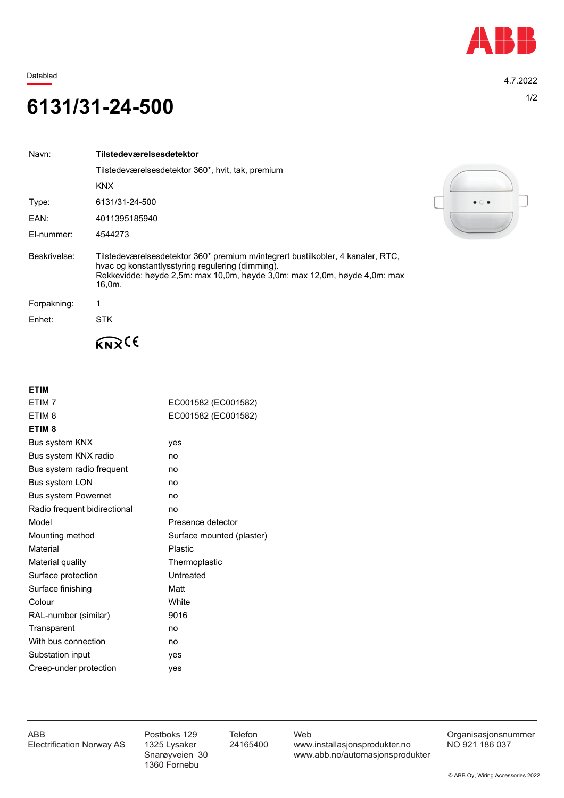

Datablad 4.7.2022

## 1/2 **6131/31-24-500**

| Navn:        | Tilstedeværelsesdetektor                                                                                                                                                                                                   |
|--------------|----------------------------------------------------------------------------------------------------------------------------------------------------------------------------------------------------------------------------|
|              | Tilstedeværelsesdetektor 360*, hvit, tak, premium                                                                                                                                                                          |
|              | <b>KNX</b>                                                                                                                                                                                                                 |
| Type:        | 6131/31-24-500                                                                                                                                                                                                             |
| EAN:         | 4011395185940                                                                                                                                                                                                              |
| El-nummer:   | 4544273                                                                                                                                                                                                                    |
| Beskrivelse: | Tilstedeværelsesdetektor 360* premium m/integrert bustilkobler, 4 kanaler, RTC,<br>hvac og konstantlysstyring regulering (dimming).<br>Rekkevidde: høyde 2,5m: max 10,0m, høyde 3,0m: max 12,0m, høyde 4,0m: max<br>16.0m. |
| Forpakning:  | 1                                                                                                                                                                                                                          |
| Enhet:       | <b>STK</b>                                                                                                                                                                                                                 |
|              |                                                                                                                                                                                                                            |

**ETIM**

| ETIM <sub>7</sub>            | EC001582 (EC001582)       |
|------------------------------|---------------------------|
| ETIM <sub>8</sub>            | EC001582 (EC001582)       |
| ETIM <sub>8</sub>            |                           |
| Bus system KNX               | yes                       |
| Bus system KNX radio         | no                        |
| Bus system radio frequent    | no                        |
| Bus system LON               | no                        |
| <b>Bus system Powernet</b>   | no                        |
| Radio frequent bidirectional | no                        |
| Model                        | Presence detector         |
| Mounting method              | Surface mounted (plaster) |
| Material                     | Plastic                   |
| Material quality             | Thermoplastic             |
| Surface protection           | Untreated                 |
| Surface finishing            | Matt                      |
| Colour                       | White                     |
| RAL-number (similar)         | 9016                      |
| Transparent                  | no                        |
| With bus connection          | no                        |
| Substation input             | yes                       |
| Creep-under protection       | yes                       |
|                              |                           |



1360 Fornebu

ABB Postboks 129 Telefon Web Postboks 129 Telefon Web Crganisasjonsnummer<br>Electrification Norway AS 1325 Lysaker 24165400 www.installasjonsprodukter.no NO 921 186 037 1325 Lysaker 24165400 www.installasjonsprodukter.no<br>Snarøyveien 30 www.abb.no/automasjonsprodu www.abb.no/automasjonsprodukter